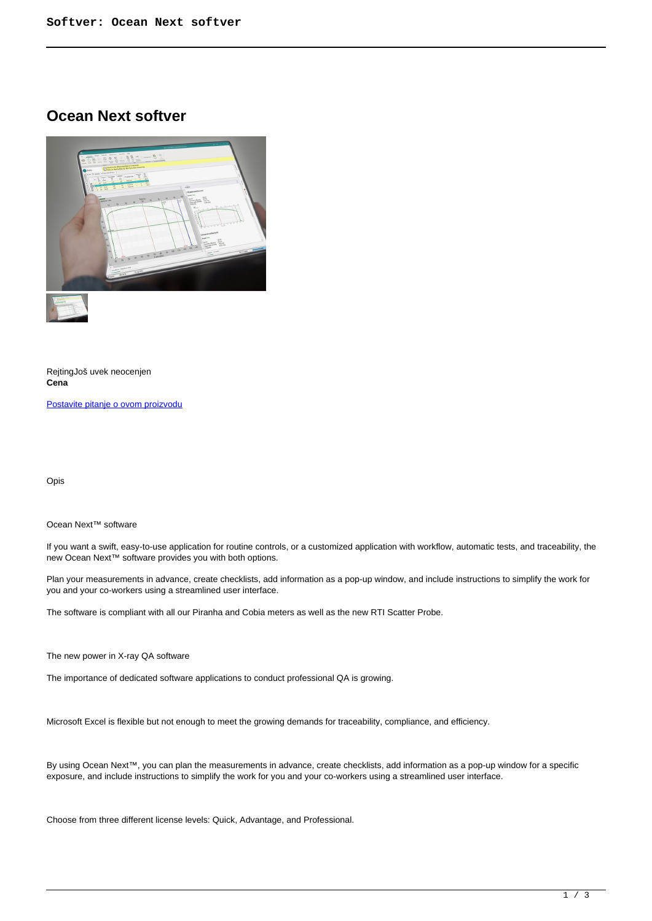# **Ocean Next softver**



RejtingJoš uvek neocenjen **Cena**

[Postavite pitanje o ovom proizvodu](https://ion.rs/index.php?option=com_virtuemart&view=productdetails&task=askquestion&virtuemart_product_id=112&virtuemart_category_id=23&tmpl=component)

Opis

### Ocean Next™ software

If you want a swift, easy-to-use application for routine controls, or a customized application with workflow, automatic tests, and traceability, the new Ocean Next™ software provides you with both options.

Plan your measurements in advance, create checklists, add information as a pop-up window, and include instructions to simplify the work for you and your co-workers using a streamlined user interface.

The software is compliant with all our Piranha and Cobia meters as well as the new RTI Scatter Probe.

The new power in X-ray QA software

The importance of dedicated software applications to conduct professional QA is growing.

Microsoft Excel is flexible but not enough to meet the growing demands for traceability, compliance, and efficiency.

By using Ocean Next™, you can plan the measurements in advance, create checklists, add information as a pop-up window for a specific exposure, and include instructions to simplify the work for you and your co-workers using a streamlined user interface.

Choose from three different license levels: Quick, Advantage, and Professional.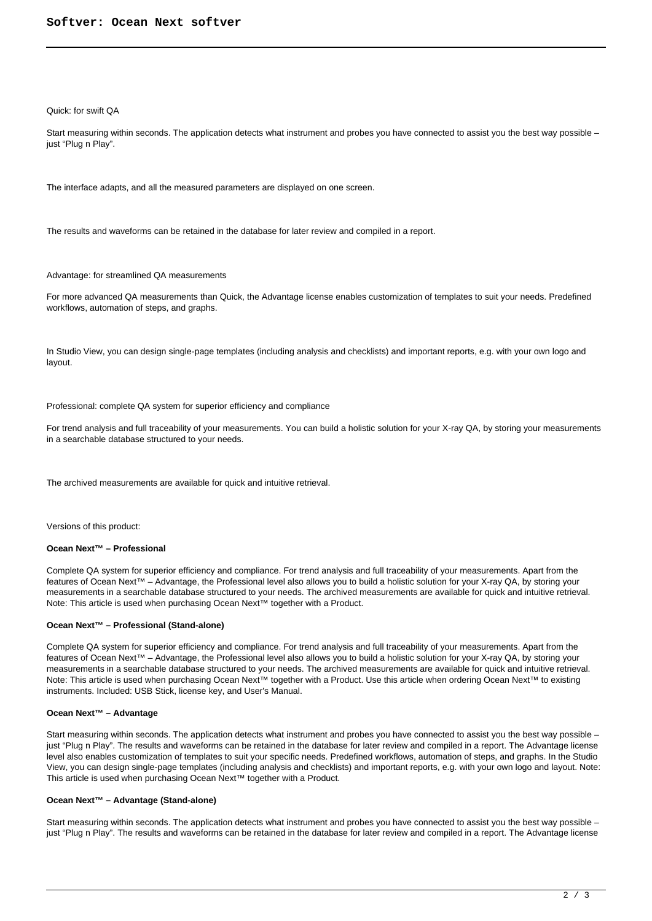#### Quick: for swift QA

Start measuring within seconds. The application detects what instrument and probes you have connected to assist you the best way possible – just "Plug n Play".

The interface adapts, and all the measured parameters are displayed on one screen.

The results and waveforms can be retained in the database for later review and compiled in a report.

Advantage: for streamlined QA measurements

For more advanced QA measurements than Quick, the Advantage license enables customization of templates to suit your needs. Predefined workflows, automation of steps, and graphs.

In Studio View, you can design single-page templates (including analysis and checklists) and important reports, e.g. with your own logo and layout.

Professional: complete QA system for superior efficiency and compliance

For trend analysis and full traceability of your measurements. You can build a holistic solution for your X-ray QA, by storing your measurements in a searchable database structured to your needs.

The archived measurements are available for quick and intuitive retrieval.

Versions of this product:

#### **Ocean Next™ – Professional**

Complete QA system for superior efficiency and compliance. For trend analysis and full traceability of your measurements. Apart from the features of Ocean Next™ – Advantage, the Professional level also allows you to build a holistic solution for your X-ray QA, by storing your measurements in a searchable database structured to your needs. The archived measurements are available for quick and intuitive retrieval. Note: This article is used when purchasing Ocean Next<sup>™</sup> together with a Product.

#### **Ocean Next™ – Professional (Stand-alone)**

Complete QA system for superior efficiency and compliance. For trend analysis and full traceability of your measurements. Apart from the features of Ocean Next™ – Advantage, the Professional level also allows you to build a holistic solution for your X-ray QA, by storing your measurements in a searchable database structured to your needs. The archived measurements are available for quick and intuitive retrieval. Note: This article is used when purchasing Ocean Next™ together with a Product. Use this article when ordering Ocean Next™ to existing instruments. Included: USB Stick, license key, and User's Manual.

## **Ocean Next™ – Advantage**

Start measuring within seconds. The application detects what instrument and probes you have connected to assist you the best way possible – just "Plug n Play". The results and waveforms can be retained in the database for later review and compiled in a report. The Advantage license level also enables customization of templates to suit your specific needs. Predefined workflows, automation of steps, and graphs. In the Studio View, you can design single-page templates (including analysis and checklists) and important reports, e.g. with your own logo and layout. Note: This article is used when purchasing Ocean Next™ together with a Product.

#### **Ocean Next™ – Advantage (Stand-alone)**

Start measuring within seconds. The application detects what instrument and probes you have connected to assist you the best way possible – just "Plug n Play". The results and waveforms can be retained in the database for later review and compiled in a report. The Advantage license